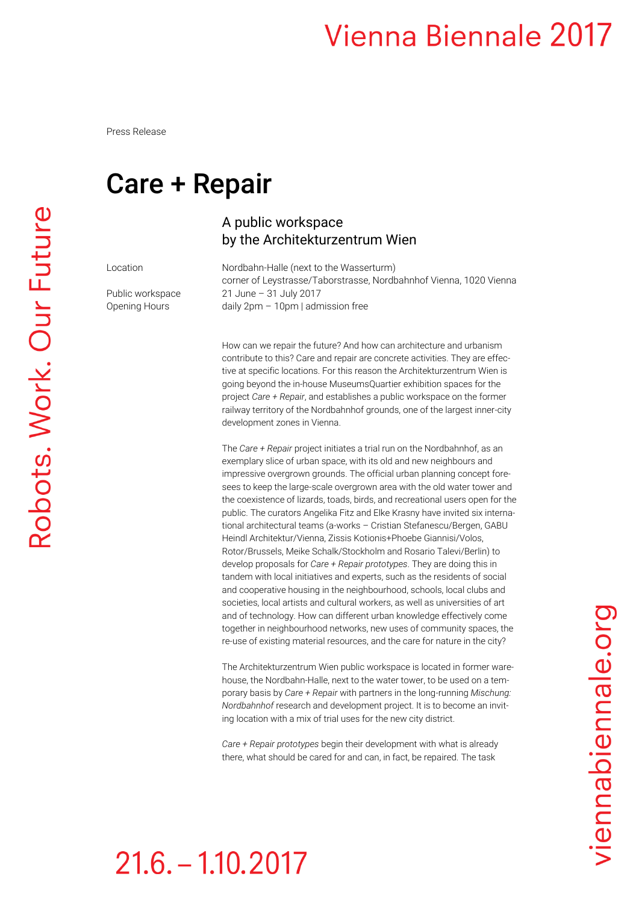### **Vienna Biennale 2017**

Press Release

### Care + Repair

### A public workspace by the Architekturzentrum Wien

Location Mordbahn-Halle (next to the Wasserturm) corner of Leystrasse/Taborstrasse, Nordbahnhof Vienna, 1020 Vienna Public workspace 21 June - 31 July 2017 Opening Hours daily 2pm – 10pm | admission free

> How can we repair the future? And how can architecture and urbanism contribute to this? Care and repair are concrete activities. They are effective at specific locations. For this reason the Architekturzentrum Wien is going beyond the in-house MuseumsQuartier exhibition spaces for the project *Care + Repair*, and establishes a public workspace on the former railway territory of the Nordbahnhof grounds, one of the largest inner-city development zones in Vienna.

The *Care + Repair* project initiates a trial run on the Nordbahnhof, as an exemplary slice of urban space, with its old and new neighbours and impressive overgrown grounds. The official urban planning concept foresees to keep the large-scale overgrown area with the old water tower and the coexistence of lizards, toads, birds, and recreational users open for the public. The curators Angelika Fitz and Elke Krasny have invited six international architectural teams (a-works – Cristian Stefanescu/Bergen, GABU Heindl Architektur/Vienna, Zissis Kotionis+Phoebe Giannisi/Volos, Rotor/Brussels, Meike Schalk/Stockholm and Rosario Talevi/Berlin) to develop proposals for *Care + Repair prototypes*. They are doing this in tandem with local initiatives and experts, such as the residents of social and cooperative housing in the neighbourhood, schools, local clubs and societies, local artists and cultural workers, as well as universities of art and of technology. How can different urban knowledge effectively come together in neighbourhood networks, new uses of community spaces, the re-use of existing material resources, and the care for nature in the city?

The Architekturzentrum Wien public workspace is located in former warehouse, the Nordbahn-Halle, next to the water tower, to be used on a temporary basis by *Care + Repair* with partners in the long-running *Mischung: Nordbahnhof* research and development project. It is to become an inviting location with a mix of trial uses for the new city district.

*Care + Repair prototypes* begin their development with what is already there, what should be cared for and can, in fact, be repaired. The task

viennabiennale.org

# $21.6 - 1.10.2017$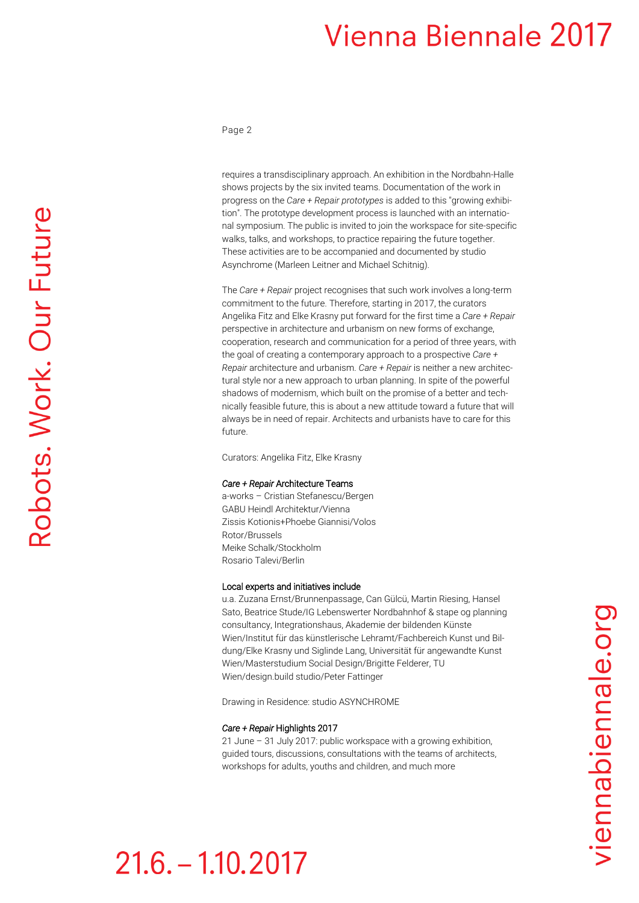### **Vienna Biennale 2017**

#### Page 2

requires a transdisciplinary approach. An exhibition in the Nordbahn-Halle shows projects by the six invited teams. Documentation of the work in progress on the *Care + Repair prototypes* is added to this "growing exhibition". The prototype development process is launched with an international symposium. The public is invited to join the workspace for site-specific walks, talks, and workshops, to practice repairing the future together. These activities are to be accompanied and documented by studio Asynchrome (Marleen Leitner and Michael Schitnig).

The *Care + Repair* project recognises that such work involves a long-term commitment to the future. Therefore, starting in 2017, the curators Angelika Fitz and Elke Krasny put forward for the first time a *Care + Repair* perspective in architecture and urbanism on new forms of exchange, cooperation, research and communication for a period of three years, with the goal of creating a contemporary approach to a prospective *Care + Repair* architecture and urbanism. *Care + Repair* is neither a new architectural style nor a new approach to urban planning. In spite of the powerful shadows of modernism, which built on the promise of a better and technically feasible future, this is about a new attitude toward a future that will always be in need of repair. Architects and urbanists have to care for this future.

Curators: Angelika Fitz, Elke Krasny

#### *Care + Repair* Architecture Teams

a-works – Cristian Stefanescu/Bergen GABU Heindl Architektur/Vienna Zissis Kotionis+Phoebe Giannisi/Volos Rotor/Brussels Meike Schalk/Stockholm Rosario Talevi/Berlin

#### Local experts and initiatives include

u.a. Zuzana Ernst/Brunnenpassage, Can Gülcü, Martin Riesing, Hansel Sato, Beatrice Stude/IG Lebenswerter Nordbahnhof & stape og planning consultancy, Integrationshaus, Akademie der bildenden Künste Wien/Institut für das künstlerische Lehramt/Fachbereich Kunst und Bildung/Elke Krasny und Siglinde Lang, Universität für angewandte Kunst Wien/Masterstudium Social Design/Brigitte Felderer, TU Wien/design.build studio/Peter Fattinger

Drawing in Residence: studio ASYNCHROME

#### *Care + Repair* Highlights 2017

21 June – 31 July 2017: public workspace with a growing exhibition, guided tours, discussions, consultations with the teams of architects, workshops for adults, youths and children, and much more

## $21.6 - 1.10.2017$